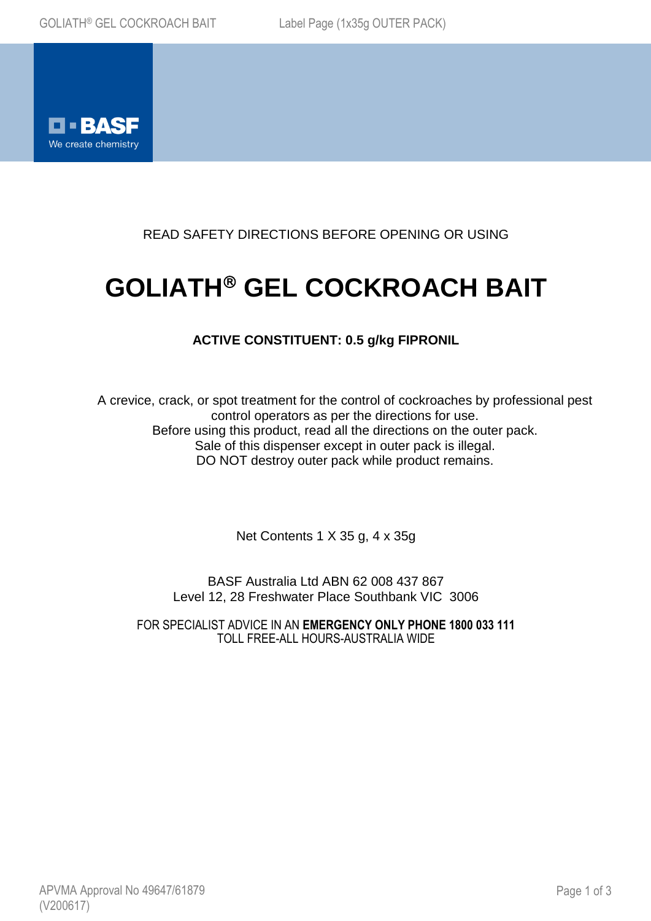

READ SAFETY DIRECTIONS BEFORE OPENING OR USING

# **GOLIATH® GEL COCKROACH BAIT**

## **ACTIVE CONSTITUENT: 0.5 g/kg FIPRONIL**

A crevice, crack, or spot treatment for the control of cockroaches by professional pest control operators as per the directions for use. Before using this product, read all the directions on the outer pack. Sale of this dispenser except in outer pack is illegal. DO NOT destroy outer pack while product remains.

Net Contents 1 X 35 g, 4 x 35g

BASF Australia Ltd ABN 62 008 437 867 Level 12, 28 Freshwater Place Southbank VIC 3006

FOR SPECIALIST ADVICE IN AN **EMERGENCY ONLY PHONE 1800 033 111** TOLL FREE-ALL HOURS-AUSTRALIA WIDE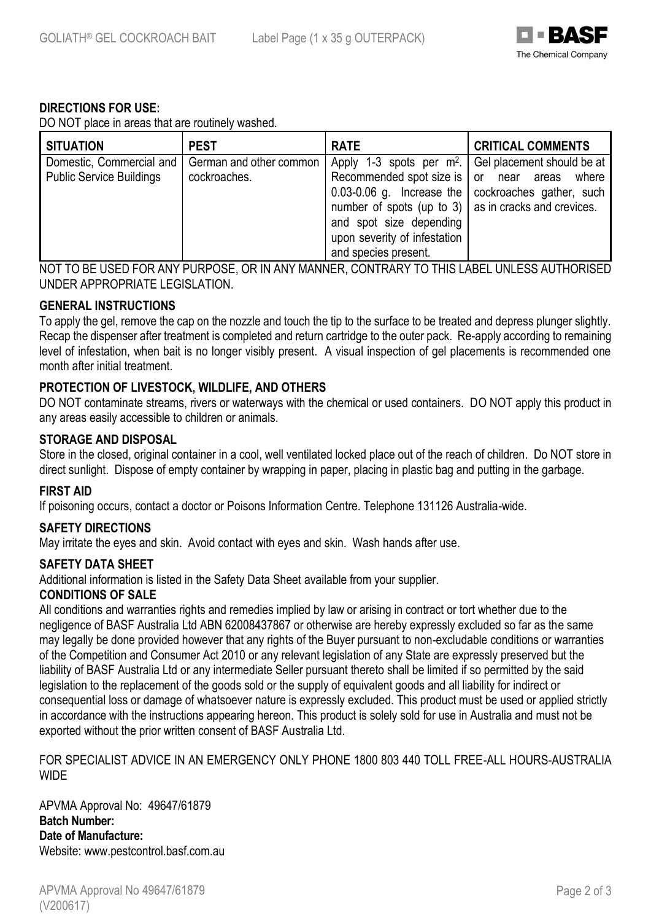

## **DIRECTIONS FOR USE:**

DO NOT place in areas that are routinely washed.

| <b>SITUATION</b>                | <b>PEST</b>             | <b>RATE</b>                                                  | <b>CRITICAL COMMENTS</b>                               |
|---------------------------------|-------------------------|--------------------------------------------------------------|--------------------------------------------------------|
| Domestic, Commercial and        | German and other common |                                                              | Apply 1-3 spots per $m^2$ . Gel placement should be at |
| <b>Public Service Buildings</b> | cockroaches.            | Recommended spot size is or near areas                       | where                                                  |
|                                 |                         |                                                              | 0.03-0.06 g. Increase the   cockroaches gather, such   |
|                                 |                         | number of spots (up to 3) $\vert$ as in cracks and crevices. |                                                        |
|                                 |                         | and spot size depending                                      |                                                        |
|                                 |                         | upon severity of infestation                                 |                                                        |
|                                 |                         | and species present.                                         |                                                        |

NOT TO BE USED FOR ANY PURPOSE, OR IN ANY MANNER, CONTRARY TO THIS LABEL UNLESS AUTHORISED UNDER APPROPRIATE LEGISLATION.

## **GENERAL INSTRUCTIONS**

To apply the gel, remove the cap on the nozzle and touch the tip to the surface to be treated and depress plunger slightly. Recap the dispenser after treatment is completed and return cartridge to the outer pack. Re-apply according to remaining level of infestation, when bait is no longer visibly present. A visual inspection of gel placements is recommended one month after initial treatment.

## **PROTECTION OF LIVESTOCK, WILDLIFE, AND OTHERS**

DO NOT contaminate streams, rivers or waterways with the chemical or used containers. DO NOT apply this product in any areas easily accessible to children or animals.

## **STORAGE AND DISPOSAL**

Store in the closed, original container in a cool, well ventilated locked place out of the reach of children. Do NOT store in direct sunlight. Dispose of empty container by wrapping in paper, placing in plastic bag and putting in the garbage.

## **FIRST AID**

If poisoning occurs, contact a doctor or Poisons Information Centre. Telephone 131126 Australia-wide.

## **SAFETY DIRECTIONS**

May irritate the eyes and skin. Avoid contact with eyes and skin. Wash hands after use.

## **SAFETY DATA SHEET**

Additional information is listed in the Safety Data Sheet available from your supplier.

## **CONDITIONS OF SALE**

All conditions and warranties rights and remedies implied by law or arising in contract or tort whether due to the negligence of BASF Australia Ltd ABN 62008437867 or otherwise are hereby expressly excluded so far as the same may legally be done provided however that any rights of the Buyer pursuant to non-excludable conditions or warranties of the Competition and Consumer Act 2010 or any relevant legislation of any State are expressly preserved but the liability of BASF Australia Ltd or any intermediate Seller pursuant thereto shall be limited if so permitted by the said legislation to the replacement of the goods sold or the supply of equivalent goods and all liability for indirect or consequential loss or damage of whatsoever nature is expressly excluded. This product must be used or applied strictly in accordance with the instructions appearing hereon. This product is solely sold for use in Australia and must not be exported without the prior written consent of BASF Australia Ltd.

FOR SPECIALIST ADVICE IN AN EMERGENCY ONLY PHONE 1800 803 440 TOLL FREE-ALL HOURS-AUSTRALIA **WIDE** 

APVMA Approval No: 49647/61879 **Batch Number: Date of Manufacture:** Website: www.pestcontrol.basf.com.au